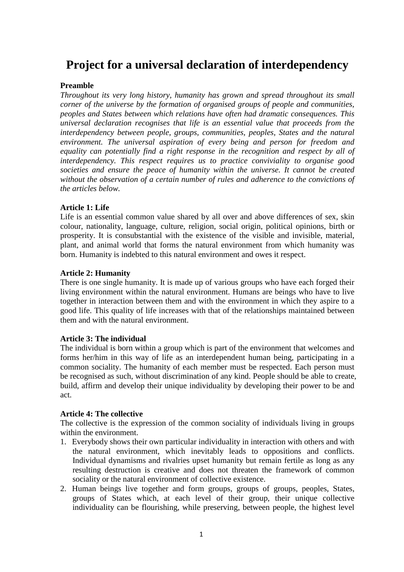# **Project for a universal declaration of interdependency**

## **Preamble**

*Throughout its very long history, humanity has grown and spread throughout its small corner of the universe by the formation of organised groups of people and communities, peoples and States between which relations have often had dramatic consequences. This universal declaration recognises that life is an essential value that proceeds from the interdependency between people, groups, communities, peoples, States and the natural environment. The universal aspiration of every being and person for freedom and equality can potentially find a right response in the recognition and respect by all of interdependency. This respect requires us to practice conviviality to organise good societies and ensure the peace of humanity within the universe. It cannot be created without the observation of a certain number of rules and adherence to the convictions of the articles below.*

## **Article 1: Life**

Life is an essential common value shared by all over and above differences of sex, skin colour, nationality, language, culture, religion, social origin, political opinions, birth or prosperity. It is consubstantial with the existence of the visible and invisible, material, plant, and animal world that forms the natural environment from which humanity was born. Humanity is indebted to this natural environment and owes it respect.

## **Article 2: Humanity**

There is one single humanity. It is made up of various groups who have each forged their living environment within the natural environment. Humans are beings who have to live together in interaction between them and with the environment in which they aspire to a good life. This quality of life increases with that of the relationships maintained between them and with the natural environment.

#### **Article 3: The individual**

The individual is born within a group which is part of the environment that welcomes and forms her/him in this way of life as an interdependent human being, participating in a common sociality. The humanity of each member must be respected. Each person must be recognised as such, without discrimination of any kind. People should be able to create, build, affirm and develop their unique individuality by developing their power to be and act.

#### **Article 4: The collective**

The collective is the expression of the common sociality of individuals living in groups within the environment.

- 1. Everybody shows their own particular individuality in interaction with others and with the natural environment, which inevitably leads to oppositions and conflicts. Individual dynamisms and rivalries upset humanity but remain fertile as long as any resulting destruction is creative and does not threaten the framework of common sociality or the natural environment of collective existence.
- 2. Human beings live together and form groups, groups of groups, peoples, States, groups of States which, at each level of their group, their unique collective individuality can be flourishing, while preserving, between people, the highest level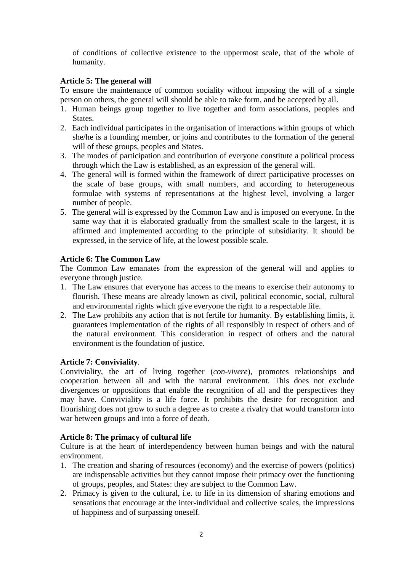of conditions of collective existence to the uppermost scale, that of the whole of humanity.

## **Article 5: The general will**

To ensure the maintenance of common sociality without imposing the will of a single person on others, the general will should be able to take form, and be accepted by all.

- 1. Human beings group together to live together and form associations, peoples and States.
- 2. Each individual participates in the organisation of interactions within groups of which she/he is a founding member, or joins and contributes to the formation of the general will of these groups, peoples and States.
- 3. The modes of participation and contribution of everyone constitute a political process through which the Law is established, as an expression of the general will.
- 4. The general will is formed within the framework of direct participative processes on the scale of base groups, with small numbers, and according to heterogeneous formulae with systems of representations at the highest level, involving a larger number of people.
- 5. The general will is expressed by the Common Law and is imposed on everyone. In the same way that it is elaborated gradually from the smallest scale to the largest, it is affirmed and implemented according to the principle of subsidiarity. It should be expressed, in the service of life, at the lowest possible scale.

# **Article 6: The Common Law**

The Common Law emanates from the expression of the general will and applies to everyone through justice.

- 1. The Law ensures that everyone has access to the means to exercise their autonomy to flourish. These means are already known as civil, political economic, social, cultural and environmental rights which give everyone the right to a respectable life.
- 2. The Law prohibits any action that is not fertile for humanity. By establishing limits, it guarantees implementation of the rights of all responsibly in respect of others and of the natural environment. This consideration in respect of others and the natural environment is the foundation of justice.

# **Article 7: Conviviality**.

Conviviality, the art of living together (*con-vivere*), promotes relationships and cooperation between all and with the natural environment. This does not exclude divergences or oppositions that enable the recognition of all and the perspectives they may have. Conviviality is a life force. It prohibits the desire for recognition and flourishing does not grow to such a degree as to create a rivalry that would transform into war between groups and into a force of death.

## **Article 8: The primacy of cultural life**

Culture is at the heart of interdependency between human beings and with the natural environment.

- 1. The creation and sharing of resources (economy) and the exercise of powers (politics) are indispensable activities but they cannot impose their primacy over the functioning of groups, peoples, and States: they are subject to the Common Law.
- 2. Primacy is given to the cultural, i.e. to life in its dimension of sharing emotions and sensations that encourage at the inter-individual and collective scales, the impressions of happiness and of surpassing oneself.